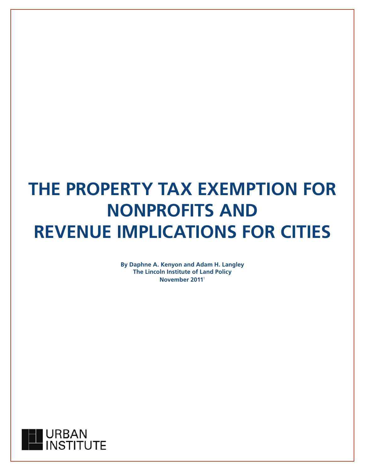# **THE PROPERTY TAX EXEMPTION FOR NONPROFITS AND REVENUE IMPLICATIONS FOR CITIES**

**By Daphne A. Kenyon and Adam H. Langley The Lincoln Institute of Land Policy November 2011**1

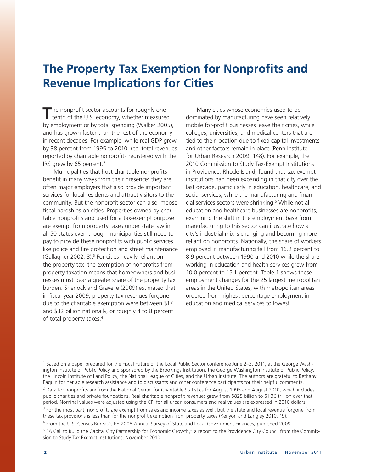# **The Property Tax Exemption for Nonprofits and Revenue Implications for Cities**

The nonprofit sector accounts for roughly one-<br>tenth of the U.S. economy, whether measured by employment or by total spending (Walker 2005), and has grown faster than the rest of the economy in recent decades. For example, while real GDP grew by 38 percent from 1995 to 2010, real total revenues reported by charitable nonprofits registered with the IRS grew by 65 percent.<sup>2</sup>

Municipalities that host charitable nonprofits benefit in many ways from their presence: they are often major employers that also provide important services for local residents and attract visitors to the community. But the nonprofit sector can also impose fiscal hardships on cities. Properties owned by charitable nonprofits and used for a tax-exempt purpose are exempt from property taxes under state law in all 50 states even though municipalities still need to pay to provide these nonprofits with public services like police and fire protection and street maintenance (Gallagher 2002, 3).<sup>3</sup> For cities heavily reliant on the property tax, the exemption of nonprofits from property taxation means that homeowners and businesses must bear a greater share of the property tax burden. Sherlock and Gravelle (2009) estimated that in fiscal year 2009, property tax revenues forgone due to the charitable exemption were between \$17 and \$32 billion nationally, or roughly 4 to 8 percent of total property taxes.4

Many cities whose economies used to be dominated by manufacturing have seen relatively mobile for-profit businesses leave their cities, while colleges, universities, and medical centers that are tied to their location due to fixed capital investments and other factors remain in place (Penn Institute for Urban Research 2009, 148). For example, the 2010 Commission to Study Tax-Exempt Institutions in Providence, Rhode Island, found that tax-exempt institutions had been expanding in that city over the last decade, particularly in education, healthcare, and social services, while the manufacturing and financial services sectors were shrinking.5 While not all education and healthcare businesses are nonprofits, examining the shift in the employment base from manufacturing to this sector can illustrate how a city's industrial mix is changing and becoming more reliant on nonprofits. Nationally, the share of workers employed in manufacturing fell from 16.2 percent to 8.9 percent between 1990 and 2010 while the share working in education and health services grew from 10.0 percent to 15.1 percent. Table 1 shows these employment changes for the 25 largest metropolitan areas in the United States, with metropolitan areas ordered from highest percentage employment in education and medical services to lowest.

<sup>1</sup> Based on a paper prepared for the Fiscal Future of the Local Public Sector conference June 2–3, 2011, at the George Washington Institute of Public Policy and sponsored by the Brookings Institution, the George Washington Institute of Public Policy, the Lincoln Institute of Land Policy, the National League of Cities, and the Urban Institute. The authors are grateful to Bethany Paquin for her able research assistance and to discussants and other conference participants for their helpful comments.

<sup>2</sup> Data for nonprofits are from the National Center for Charitable Statistics for August 1995 and August 2010, which includes public charities and private foundations. Real charitable nonprofit revenues grew from \$825 billion to \$1.36 trillion over that period. Nominal values were adjusted using the CPI for all urban consumers and real values are expressed in 2010 dollars.

<sup>3</sup> For the most part, nonprofits are exempt from sales and income taxes as well, but the state and local revenue forgone from these tax provisions is less than for the nonprofit exemption from property taxes (Kenyon and Langley 2010, 19).

4 From the U.S. Census Bureau's FY 2008 Annual Survey of State and Local Government Finances, published 2009.

<sup>5</sup> "A Call to Build the Capital City Partnership for Economic Growth," a report to the Providence City Council from the Commission to Study Tax Exempt Institutions, November 2010.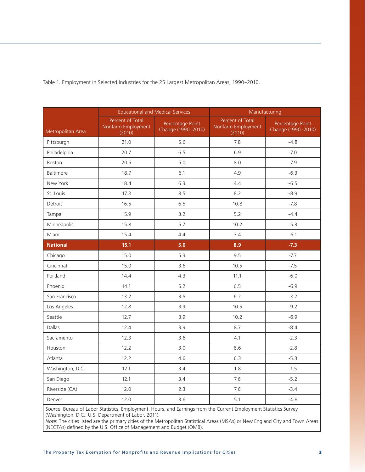|                   |                                                  | <b>Educational and Medical Services</b> | Manufacturing                                    |                                        |  |
|-------------------|--------------------------------------------------|-----------------------------------------|--------------------------------------------------|----------------------------------------|--|
| Metropolitan Area | Percent of Total<br>Nonfarm Employment<br>(2010) | Percentage Point<br>Change (1990-2010)  | Percent of Total<br>Nonfarm Employment<br>(2010) | Percentage Point<br>Change (1990-2010) |  |
| Pittsburgh        | 21.0                                             | 5.6                                     | 7.8                                              | $-4.8$                                 |  |
| Philadelphia      | 20.7                                             | 6.5                                     | 6.9                                              | $-7.0$                                 |  |
| Boston            | 20.5                                             | 5.0                                     | 8.0                                              | $-7.9$                                 |  |
| Baltimore         | 18.7                                             | 6.1                                     | 4.9                                              | $-6.3$                                 |  |
| New York          | 18.4                                             | 6.3                                     | 4.4                                              | $-6.5$                                 |  |
| St. Louis         | 17.3                                             | 8.5                                     | 8.2                                              | $-8.9$                                 |  |
| Detroit           | 16.5                                             | 6.5                                     | 10.8                                             | $-7.8$                                 |  |
| Tampa             | 15.9                                             | 3.2                                     | 5.2                                              | $-4.4$                                 |  |
| Minneapolis       | 15.8                                             | 5.7                                     | 10.2                                             | $-5.3$                                 |  |
| Miami             | 15.4                                             | 4.4                                     | 3.4                                              | $-6.1$                                 |  |
| <b>National</b>   | 15.1                                             | 5.0                                     | 8.9                                              | $-7.3$                                 |  |
| Chicago           | 15.0                                             | 5.3                                     | 9.5                                              | $-7.7$                                 |  |
| Cincinnati        | 15.0                                             | 3.6                                     | 10.5                                             | $-7.5$                                 |  |
| Portland          | 14.4                                             | 4.3                                     | 11.1                                             | $-6.0$                                 |  |
| Phoenix           | 14.1                                             | 5.2                                     | 6.5                                              | $-6.9$                                 |  |
| San Francisco     | 13.2                                             | 3.5                                     | 6.2                                              | $-3.2$                                 |  |
| Los Angeles       | 12.8                                             | 3.9                                     | 10.5                                             | $-9.2$                                 |  |
| Seattle           | 12.7                                             | 3.9                                     | 10.2                                             | $-6.9$                                 |  |
| <b>Dallas</b>     | 12.4                                             | 3.9                                     | 8.7                                              | $-8.4$                                 |  |
| Sacramento        | 12.3                                             | 3.6                                     | 4.1                                              | $-2.3$                                 |  |
| Houston           | 12.2                                             | 3.0                                     | 8.6                                              | $-2.8$                                 |  |
| Atlanta           | 12.2                                             | 4.6                                     | 6.3                                              | $-5.3$                                 |  |
| Washington, D.C.  | 12.1                                             | 3.4                                     | 1.8                                              | $-1.5$                                 |  |
| San Diego         | 12.1                                             | 3.4                                     | 7.6                                              | $-5.2$                                 |  |
| Riverside (CA)    | 12.0                                             | 2.3                                     | 7.6                                              | $-3.4$                                 |  |
| Denver            | 12.0                                             | 3.6                                     | 5.1                                              | $-4.8$                                 |  |

Table 1. Employment in Selected Industries for the 25 Largest Metropolitan Areas, 1990–2010.

*Source*: Bureau of Labor Statistics, Employment, Hours, and Earnings from the Current Employment Statistics Survey (Washington, D.C.: U.S. Department of Labor, 2011).

*Note*: The cities listed are the primary cities of the Metropolitan Statistical Areas (MSAs) or New England City and Town Areas (NECTAs) defined by the U.S. Office of Management and Budget (OMB).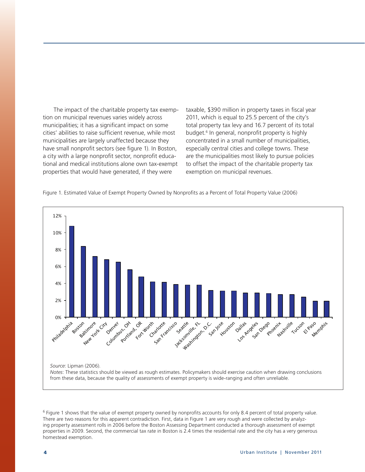The impact of the charitable property tax exemption on municipal revenues varies widely across municipalities; it has a significant impact on some cities' abilities to raise sufficient revenue, while most municipalities are largely unaffected because they have small nonprofit sectors (see figure 1). In Boston, a city with a large nonprofit sector, nonprofit educational and medical institutions alone own tax-exempt properties that would have generated, if they were

taxable, \$390 million in property taxes in fiscal year 2011, which is equal to 25.5 percent of the city's total property tax levy and 16.7 percent of its total budget.<sup>6</sup> In general, nonprofit property is highly concentrated in a small number of municipalities, especially central cities and college towns. These are the municipalities most likely to pursue policies to offset the impact of the charitable property tax exemption on municipal revenues.

Figure 1. Estimated Value of Exempt Property Owned by Nonprofits as a Percent of Total Property Value (2006)



<sup>&</sup>lt;sup>6</sup> Figure 1 shows that the value of exempt property owned by nonprofits accounts for only 8.4 percent of total property value. There are two reasons for this apparent contradiction. First, data in Figure 1 are very rough and were collected by analyzing property assessment rolls in 2006 before the Boston Assessing Department conducted a thorough assessment of exempt properties in 2009. Second, the commercial tax rate in Boston is 2.4 times the residential rate and the city has a very generous homestead exemption.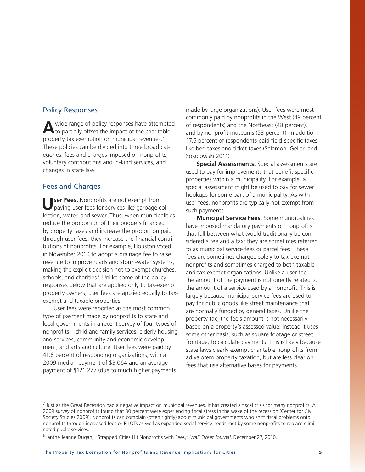## Policy Responses

**A**wide range of policy responses have attempted to partially offset the impact of the charitable property tax exemption on municipal revenues.7 These policies can be divided into three broad categories: fees and charges imposed on nonprofits, voluntary contributions and in-kind services, and changes in state law.

# Fees and Charges

**Ser Fees.** Nonprofits are not exempt from paying user fees for services like garbage collection, water, and sewer. Thus, when municipalities reduce the proportion of their budgets financed by property taxes and increase the proportion paid through user fees, they increase the financial contributions of nonprofits. For example, Houston voted in November 2010 to adopt a drainage fee to raise revenue to improve roads and storm-water systems, making the explicit decision not to exempt churches, schools, and charities.<sup>8</sup> Unlike some of the policy responses below that are applied only to tax-exempt property owners, user fees are applied equally to taxexempt and taxable properties.

User fees were reported as the most common type of payment made by nonprofits to state and local governments in a recent survey of four types of nonprofits—child and family services, elderly housing and services, community and economic development, and arts and culture. User fees were paid by 41.6 percent of responding organizations, with a 2009 median payment of \$3,064 and an average payment of \$121,277 (due to much higher payments

made by large organizations). User fees were most commonly paid by nonprofits in the West (49 percent of respondents) and the Northeast (48 percent), and by nonprofit museums (53 percent). In addition, 17.6 percent of respondents paid field-specific taxes like bed taxes and ticket taxes (Salamon, Geller, and Sokolowski 2011).

**Special Assessments.** Special assessments are used to pay for improvements that benefit specific properties within a municipality. For example, a special assessment might be used to pay for sewer hookups for some part of a municipality. As with user fees, nonprofits are typically not exempt from such payments.

**Municipal Service Fees.** Some municipalities have imposed mandatory payments on nonprofits that fall between what would traditionally be considered a fee and a tax; they are sometimes referred to as municipal service fees or parcel fees. These fees are sometimes charged solely to tax-exempt nonprofits and sometimes charged to both taxable and tax-exempt organizations. Unlike a user fee, the amount of the payment is not directly related to the amount of a service used by a nonprofit. This is largely because municipal service fees are used to pay for public goods like street maintenance that are normally funded by general taxes. Unlike the property tax, the fee's amount is not necessarily based on a property's assessed value; instead it uses some other basis, such as square footage or street frontage, to calculate payments. This is likely because state laws clearly exempt charitable nonprofits from ad valorem property taxation, but are less clear on fees that use alternative bases for payments.

<sup>&</sup>lt;sup>7</sup> Just as the Great Recession had a negative impact on municipal revenues, it has created a fiscal crisis for many nonprofits. A 2009 survey of nonprofits found that 80 percent were experiencing fiscal stress in the wake of the recession (Center for Civil Society Studies 2009). Nonprofits can complain (often rightly) about municipal governments who shift fiscal problems onto nonprofits through increased fees or PILOTs as well as expanded social service needs met by some nonprofits to replace eliminated public services.

<sup>8</sup> Ianthe Jeanne Dugan, "Strapped Cities Hit Nonprofits with Fees," *Wall Street Journal*, December 27, 2010.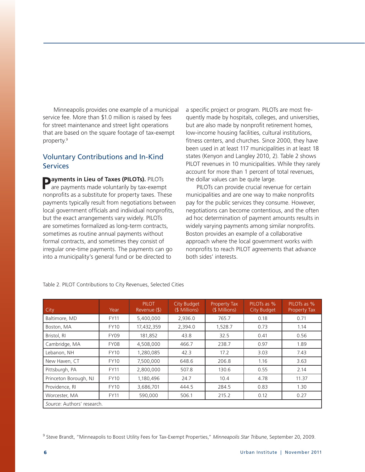Minneapolis provides one example of a municipal service fee. More than \$1.0 million is raised by fees for street maintenance and street light operations that are based on the square footage of tax-exempt property.9

# Voluntary Contributions and In-Kind **Services**

**Payments in Lieu of Taxes (PILOTs).** PILOTs are payments made voluntarily by tax-exempt nonprofits as a substitute for property taxes. These payments typically result from negotiations between local government officials and individual nonprofits, but the exact arrangements vary widely. PILOTs are sometimes formalized as long-term contracts, sometimes as routine annual payments without formal contracts, and sometimes they consist of irregular one-time payments. The payments can go into a municipality's general fund or be directed to

a specific project or program. PILOTs are most frequently made by hospitals, colleges, and universities, but are also made by nonprofit retirement homes, low-income housing facilities, cultural institutions, fitness centers, and churches. Since 2000, they have been used in at least 117 municipalities in at least 18 states (Kenyon and Langley 2010, 2). Table 2 shows PILOT revenues in 10 municipalities. While they rarely account for more than 1 percent of total revenues, the dollar values can be quite large.

PILOTs can provide crucial revenue for certain municipalities and are one way to make nonprofits pay for the public services they consume. However, negotiations can become contentious, and the often ad hoc determination of payment amounts results in widely varying payments among similar nonprofits. Boston provides an example of a collaborative approach where the local government works with nonprofits to reach PILOT agreements that advance both sides' interests.

| City                       | Year        | <b>PILOT</b><br>Revenue (\$) | City Budget<br>(\$ Millions) | Property Tax<br>(\$ Millions) | PILOTS as %<br>City Budget | PILOTs as %<br><b>Property Tax</b> |  |  |
|----------------------------|-------------|------------------------------|------------------------------|-------------------------------|----------------------------|------------------------------------|--|--|
| Baltimore, MD              | <b>FY11</b> | 5,400,000                    | 2,936.0                      | 765.7                         | 0.18                       | 0.71                               |  |  |
| Boston, MA                 | <b>FY10</b> | 17,432,359                   | 2.394.0                      | 1.528.7                       | 0.73                       | 1.14                               |  |  |
| Bristol, RI                | FY09        | 181,852                      | 43.8                         | 32.5                          | 0.41                       | 0.56                               |  |  |
| Cambridge, MA              | FY08        | 4,508,000                    | 466.7                        | 238.7                         | 0.97                       | 1.89                               |  |  |
| Lebanon, NH                | <b>FY10</b> | 1,280,085                    | 42.3                         | 17.2                          | 3.03                       | 7.43                               |  |  |
| New Haven, CT              | <b>FY10</b> | 7,500,000                    | 648.6                        | 206.8                         | 1.16                       | 3.63                               |  |  |
| Pittsburgh, PA             | <b>FY11</b> | 2,800,000                    | 507.8                        | 130.6                         | 0.55                       | 2.14                               |  |  |
| Princeton Borough, NJ      | <b>FY10</b> | 1,180,496                    | 24.7                         | 10.4                          | 4.78                       | 11.37                              |  |  |
| Providence, RI             | <b>FY10</b> | 3,686,701                    | 444.5                        | 284.5                         | 0.83                       | 1.30                               |  |  |
| Worcester, MA              | <b>FY11</b> | 590,000                      | 506.1                        | 215.2                         | 0.12                       | 0.27                               |  |  |
| Source: Authors' research. |             |                              |                              |                               |                            |                                    |  |  |

Table 2. PILOT Contributions to City Revenues, Selected Cities

9 Steve Brandt, "Minneapolis to Boost Utility Fees for Tax-Exempt Properties," *Minneapolis Star Tribune*, September 20, 2009.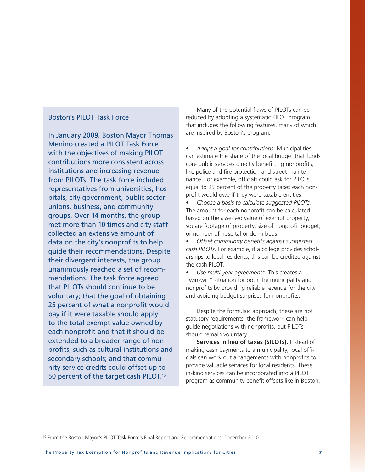## Boston's PILOT Task Force

In January 2009, Boston Mayor Thomas Menino created a PILOT Task Force with the objectives of making PILOT contributions more consistent across institutions and increasing revenue from PILOTs. The task force included representatives from universities, hospitals, city government, public sector unions, business, and community groups. Over 14 months, the group met more than 10 times and city staff collected an extensive amount of data on the city's nonprofits to help guide their recommendations. Despite their divergent interests, the group unanimously reached a set of recommendations. The task force agreed that PILOTs should continue to be voluntary; that the goal of obtaining 25 percent of what a nonprofit would pay if it were taxable should apply to the total exempt value owned by each nonprofit and that it should be extended to a broader range of nonprofits, such as cultural institutions and secondary schools; and that community service credits could offset up to 50 percent of the target cash PILOT.<sup>10</sup>

Many of the potential flaws of PILOTs can be reduced by adopting a systematic PILOT program that includes the following features, many of which are inspired by Boston's program:

Adopt a goal for contributions. Municipalities can estimate the share of the local budget that funds core public services directly benefitting nonprofits, like police and fire protection and street maintenance. For example, officials could ask for PILOTs equal to 25 percent of the property taxes each nonprofit would owe if they were taxable entities.

Choose a basis to calculate suggested PILOTs. The amount for each nonprofit can be calculated based on the assessed value of exempt property, square footage of property, size of nonprofit budget, or number of hospital or dorm beds.

• *Offset community benefits against suggested cash PILOTs.* For example, if a college provides scholarships to local residents, this can be credited against the cash PILOT.

Use multi-year agreements. This creates a "win-win" situation for both the municipality and nonprofits by providing reliable revenue for the city and avoiding budget surprises for nonprofits.

Despite the formulaic approach, these are not statutory requirements; the framework can help guide negotiations with nonprofits, but PILOTs should remain voluntary.

**Services in lieu of taxes (SILOTs).** Instead of making cash payments to a municipality, local officials can work out arrangements with nonprofits to provide valuable services for local residents. These in-kind services can be incorporated into a PILOT program as community benefit offsets like in Boston,

10 From the Boston Mayor's PILOT Task Force's Final Report and Recommendations, December 2010.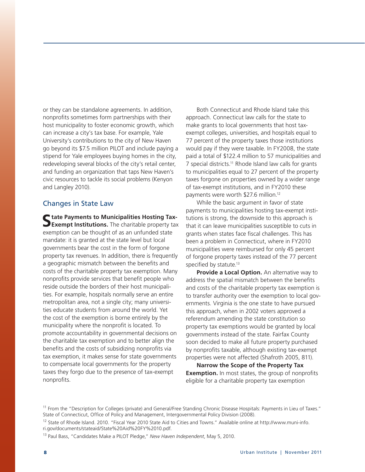or they can be standalone agreements. In addition, nonprofits sometimes form partnerships with their host municipality to foster economic growth, which can increase a city's tax base. For example, Yale University's contributions to the city of New Haven go beyond its \$7.5 million PILOT and include paying a stipend for Yale employees buying homes in the city, redeveloping several blocks of the city's retail center, and funding an organization that taps New Haven's civic resources to tackle its social problems (Kenyon and Langley 2010).

## Changes in State Law

**State Payments to Municipalities Hosting Tax-Exempt Institutions.** The charitable property tax exemption can be thought of as an unfunded state mandate: it is granted at the state level but local governments bear the cost in the form of forgone property tax revenues. In addition, there is frequently a geographic mismatch between the benefits and costs of the charitable property tax exemption. Many nonprofits provide services that benefit people who reside outside the borders of their host municipalities. For example, hospitals normally serve an entire metropolitan area, not a single city; many universities educate students from around the world. Yet the cost of the exemption is borne entirely by the municipality where the nonprofit is located. To promote accountability in governmental decisions on the charitable tax exemption and to better align the benefits and the costs of subsidizing nonprofits via tax exemption, it makes sense for state governments to compensate local governments for the property taxes they forgo due to the presence of tax-exempt nonprofits.

Both Connecticut and Rhode Island take this approach. Connecticut law calls for the state to make grants to local governments that host taxexempt colleges, universities, and hospitals equal to 77 percent of the property taxes those institutions would pay if they were taxable. In FY2008, the state paid a total of \$122.4 million to 57 municipalities and 7 special districts.11 Rhode Island law calls for grants to municipalities equal to 27 percent of the property taxes forgone on properties owned by a wider range of tax-exempt institutions, and in FY2010 these payments were worth \$27.6 million.12

While the basic argument in favor of state payments to municipalities hosting tax-exempt institutions is strong, the downside to this approach is that it can leave municipalities susceptible to cuts in grants when states face fiscal challenges. This has been a problem in Connecticut, where in FY2010 municipalities were reimbursed for only 45 percent of forgone property taxes instead of the 77 percent specified by statute.<sup>13</sup>

**Provide a Local Option.** An alternative way to address the spatial mismatch between the benefits and costs of the charitable property tax exemption is to transfer authority over the exemption to local governments. Virginia is the one state to have pursued this approach, when in 2002 voters approved a referendum amending the state constitution so property tax exemptions would be granted by local governments instead of the state. Fairfax County soon decided to make all future property purchased by nonprofits taxable, although existing tax-exempt properties were not affected (Shafroth 2005, 811).

**Narrow the Scope of the Property Tax Exemption.** In most states, the group of nonprofits eligible for a charitable property tax exemption

<sup>11</sup> From the "Description for Colleges (private) and General/Free Standing Chronic Disease Hospitals: Payments in Lieu of Taxes." State of Connecticut, Office of Policy and Management, Intergovernmental Policy Division (2008).

<sup>&</sup>lt;sup>12</sup> State of Rhode Island. 2010. "Fiscal Year 2010 State Aid to Cities and Towns." Available online at http://www.muni-info. ri.gov/documents/stateaid/State%20Aid%20FY%2010.pdf.

<sup>13</sup> Paul Bass, "Candidates Make a PILOT Pledge," *New Haven Independent*, May 5, 2010.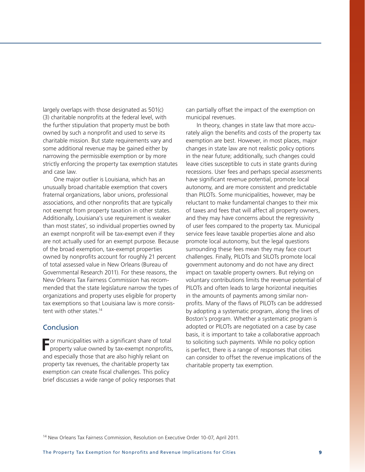largely overlaps with those designated as 501(c) (3) charitable nonprofits at the federal level, with the further stipulation that property must be both owned by such a nonprofit and used to serve its charitable mission. But state requirements vary and some additional revenue may be gained either by narrowing the permissible exemption or by more strictly enforcing the property tax exemption statutes and case law.

One major outlier is Louisiana, which has an unusually broad charitable exemption that covers fraternal organizations, labor unions, professional associations, and other nonprofits that are typically not exempt from property taxation in other states. Additionally, Louisiana's use requirement is weaker than most states', so individual properties owned by an exempt nonprofit will be tax-exempt even if they are not actually used for an exempt purpose. Because of the broad exemption, tax-exempt properties owned by nonprofits account for roughly 21 percent of total assessed value in New Orleans (Bureau of Governmental Research 2011). For these reasons, the New Orleans Tax Fairness Commission has recommended that the state legislature narrow the types of organizations and property uses eligible for property tax exemptions so that Louisiana law is more consistent with other states.<sup>14</sup>

## Conclusion

**For municipalities with a significant share of total property value owned by tax-exempt nonprofits,** and especially those that are also highly reliant on property tax revenues, the charitable property tax exemption can create fiscal challenges. This policy brief discusses a wide range of policy responses that can partially offset the impact of the exemption on municipal revenues.

In theory, changes in state law that more accurately align the benefits and costs of the property tax exemption are best. However, in most places, major changes in state law are not realistic policy options in the near future; additionally, such changes could leave cities susceptible to cuts in state grants during recessions. User fees and perhaps special assessments have significant revenue potential, promote local autonomy, and are more consistent and predictable than PILOTs. Some municipalities, however, may be reluctant to make fundamental changes to their mix of taxes and fees that will affect all property owners, and they may have concerns about the regressivity of user fees compared to the property tax. Municipal service fees leave taxable properties alone and also promote local autonomy, but the legal questions surrounding these fees mean they may face court challenges. Finally, PILOTs and SILOTs promote local government autonomy and do not have any direct impact on taxable property owners. But relying on voluntary contributions limits the revenue potential of PILOTs and often leads to large horizontal inequities in the amounts of payments among similar nonprofits. Many of the flaws of PILOTs can be addressed by adopting a systematic program, along the lines of Boston's program. Whether a systematic program is adopted or PILOTs are negotiated on a case by case basis, it is important to take a collaborative approach to soliciting such payments. While no policy option is perfect, there is a range of responses that cities can consider to offset the revenue implications of the charitable property tax exemption.

14 New Orleans Tax Fairness Commission, Resolution on Executive Order 10-07, April 2011.